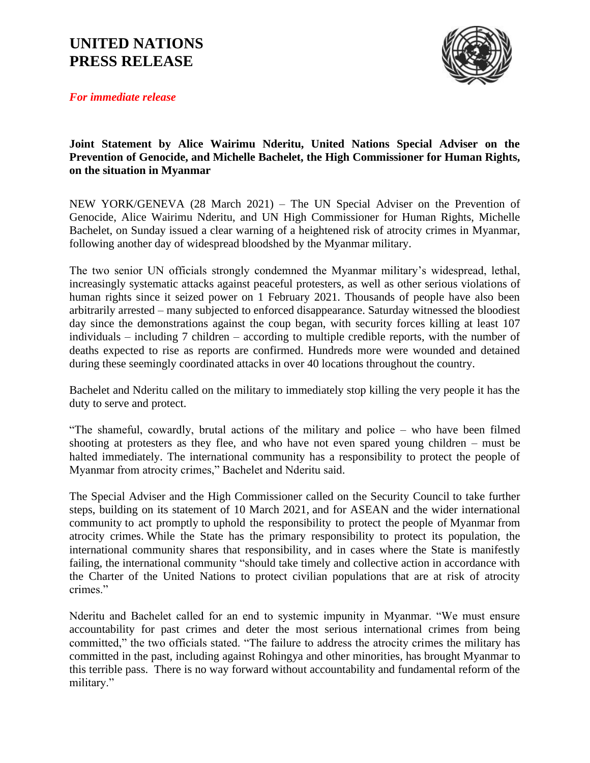## **UNITED NATIONS PRESS RELEASE**



*For immediate release*

## **Joint Statement by Alice Wairimu Nderitu, United Nations Special Adviser on the Prevention of Genocide, and Michelle Bachelet, the High Commissioner for Human Rights, on the situation in Myanmar**

NEW YORK/GENEVA (28 March 2021) – The UN Special Adviser on the Prevention of Genocide, Alice Wairimu Nderitu, and UN High Commissioner for Human Rights, Michelle Bachelet, on Sunday issued a clear warning of a heightened risk of atrocity crimes in Myanmar, following another day of widespread bloodshed by the Myanmar military.

The two senior UN officials strongly condemned the Myanmar military's widespread, lethal, increasingly systematic attacks against peaceful protesters, as well as other serious violations of human rights since it seized power on 1 February 2021. Thousands of people have also been arbitrarily arrested – many subjected to enforced disappearance. Saturday witnessed the bloodiest day since the demonstrations against the coup began, with security forces killing at least 107 individuals – including 7 children – according to multiple credible reports, with the number of deaths expected to rise as reports are confirmed. Hundreds more were wounded and detained during these seemingly coordinated attacks in over 40 locations throughout the country.

Bachelet and Nderitu called on the military to immediately stop killing the very people it has the duty to serve and protect.

"The shameful, cowardly, brutal actions of the military and police – who have been filmed shooting at protesters as they flee, and who have not even spared young children – must be halted immediately. The international community has a responsibility to protect the people of Myanmar from atrocity crimes," Bachelet and Nderitu said.

The Special Adviser and the High Commissioner called on the Security Council to take further steps, building on its statement of 10 March 2021, and for ASEAN and the wider international community to act promptly to uphold the responsibility to protect the people of Myanmar from atrocity crimes. While the State has the primary responsibility to protect its population, the international community shares that responsibility, and in cases where the State is manifestly failing, the international community "should take timely and collective action in accordance with the Charter of the United Nations to protect civilian populations that are at risk of atrocity crimes."

Nderitu and Bachelet called for an end to systemic impunity in Myanmar. "We must ensure accountability for past crimes and deter the most serious international crimes from being committed," the two officials stated. "The failure to address the atrocity crimes the military has committed in the past, including against Rohingya and other minorities, has brought Myanmar to this terrible pass. There is no way forward without accountability and fundamental reform of the military."